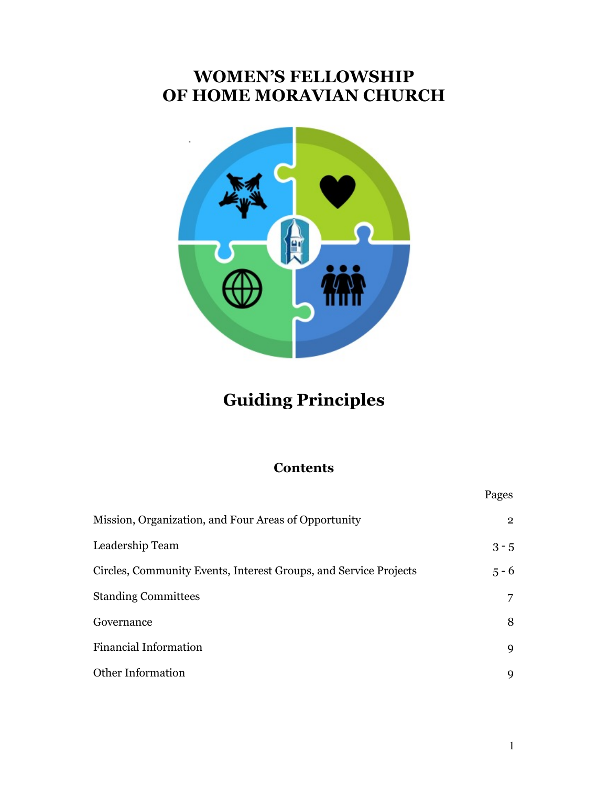# **WOMEN'S FELLOWSHIP OF HOME MORAVIAN CHURCH**



# **Guiding Principles**

# **Contents**

|                                                                  | Pages          |
|------------------------------------------------------------------|----------------|
| Mission, Organization, and Four Areas of Opportunity             | $\overline{2}$ |
| Leadership Team                                                  | $3 - 5$        |
| Circles, Community Events, Interest Groups, and Service Projects | $5 - 6$        |
| <b>Standing Committees</b>                                       | 7              |
| Governance                                                       | 8              |
| <b>Financial Information</b>                                     | 9              |
| <b>Other Information</b>                                         | 9              |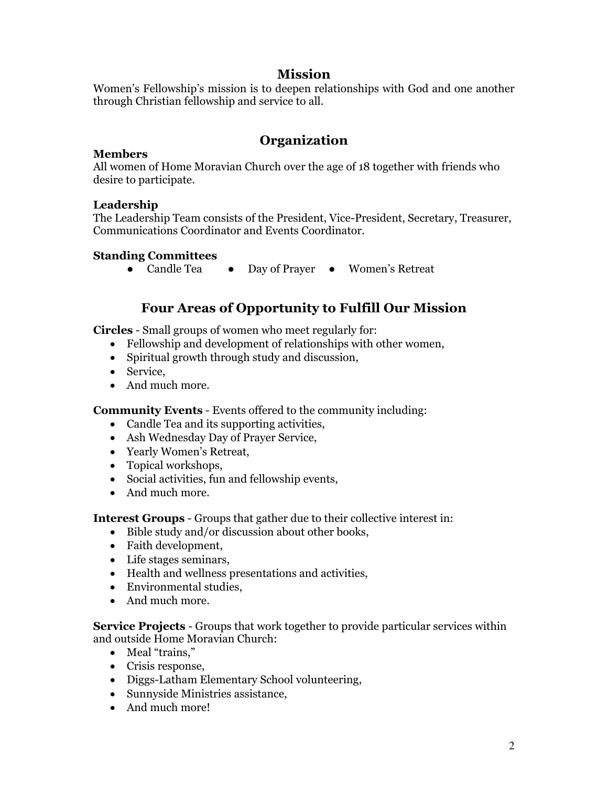## **Mission**

Women's Fellowship's mission is to deepen relationships with God and one another through Christian fellowship and service to all.

## **Organization**

### **Members**

All women of Home Moravian Church over the age of 18 together with friends who desire to participate.

## **Leadership**

The Leadership Team consists of the President, Vice-President, Secretary, Treasurer, Communications Coordinator and Events Coordinator.

## **Standing Committees**

● Candle Tea ● Day of Prayer ● Women's Retreat

## **Four Areas of Opportunity to Fulfill Our Mission**

**Circles** - Small groups of women who meet regularly for:

- Fellowship and development of relationships with other women,
- Spiritual growth through study and discussion,
- Service,
- And much more.

**Community Events** - Events offered to the community including:

- Candle Tea and its supporting activities,
- Ash Wednesday Day of Prayer Service,
- Yearly Women's Retreat,
- Topical workshops,
- Social activities, fun and fellowship events,
- And much more.

**Interest Groups** - Groups that gather due to their collective interest in:

- Bible study and/or discussion about other books,
- Faith development,
- Life stages seminars,
- Health and wellness presentations and activities,
- Environmental studies,
- And much more.

**Service Projects** - Groups that work together to provide particular services within and outside Home Moravian Church:

- Meal "trains,"
- Crisis response,
- Diggs-Latham Elementary School volunteering,
- Sunnyside Ministries assistance,
- And much more!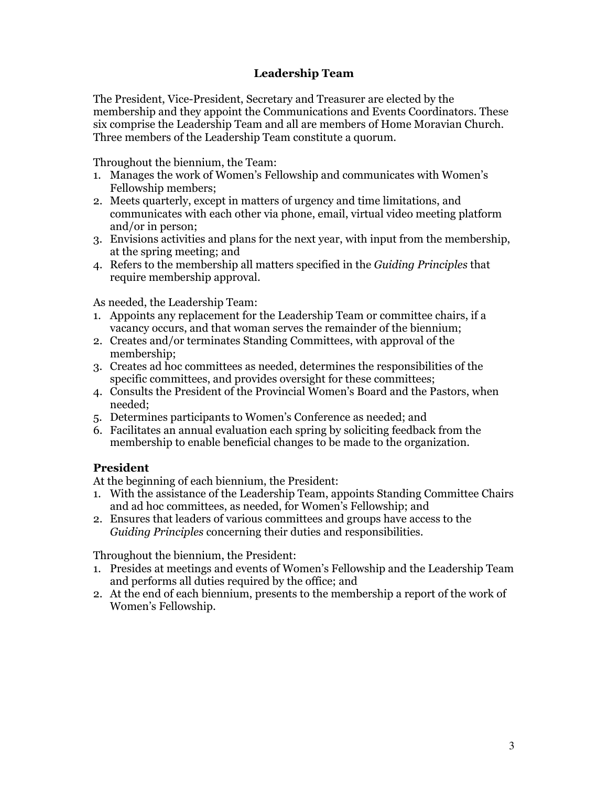## **Leadership Team**

The President, Vice-President, Secretary and Treasurer are elected by the membership and they appoint the Communications and Events Coordinators. These six comprise the Leadership Team and all are members of Home Moravian Church. Three members of the Leadership Team constitute a quorum.

Throughout the biennium, the Team:

- 1. Manages the work of Women's Fellowship and communicates with Women's Fellowship members;
- 2. Meets quarterly, except in matters of urgency and time limitations, and communicates with each other via phone, email, virtual video meeting platform and/or in person;
- 3. Envisions activities and plans for the next year, with input from the membership, at the spring meeting; and
- 4. Refers to the membership all matters specified in the *Guiding Principles* that require membership approval.

As needed, the Leadership Team:

- 1. Appoints any replacement for the Leadership Team or committee chairs, if a vacancy occurs, and that woman serves the remainder of the biennium;
- 2. Creates and/or terminates Standing Committees, with approval of the membership;
- 3. Creates ad hoc committees as needed, determines the responsibilities of the specific committees, and provides oversight for these committees;
- 4. Consults the President of the Provincial Women's Board and the Pastors, when needed;
- 5. Determines participants to Women's Conference as needed; and
- 6. Facilitates an annual evaluation each spring by soliciting feedback from the membership to enable beneficial changes to be made to the organization.

#### **President**

At the beginning of each biennium, the President:

- 1. With the assistance of the Leadership Team, appoints Standing Committee Chairs and ad hoc committees, as needed, for Women's Fellowship; and
- 2. Ensures that leaders of various committees and groups have access to the *Guiding Principles* concerning their duties and responsibilities.

Throughout the biennium, the President:

- 1. Presides at meetings and events of Women's Fellowship and the Leadership Team and performs all duties required by the office; and
- 2. At the end of each biennium, presents to the membership a report of the work of Women's Fellowship.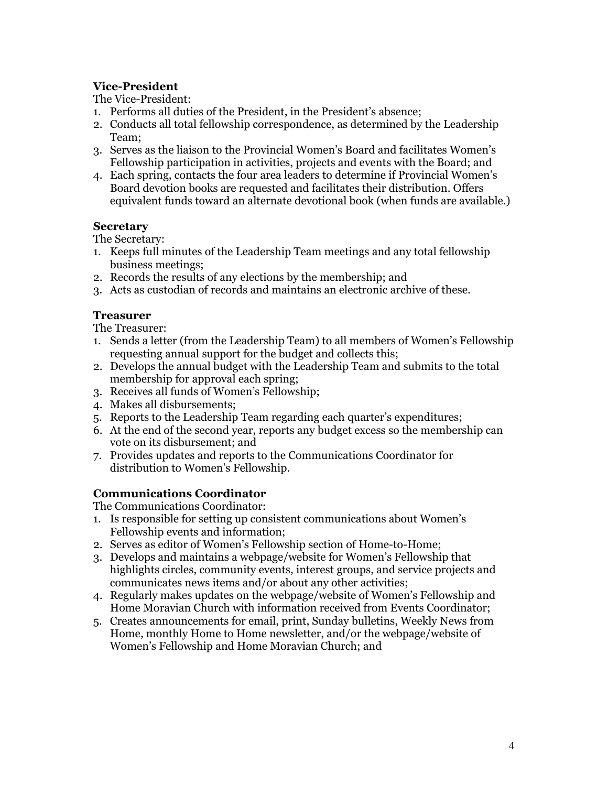## **Vice-President**

The Vice-President:

- 1. Performs all duties of the President, in the President's absence;
- 2. Conducts all total fellowship correspondence, as determined by the Leadership Team;
- 3. Serves as the liaison to the Provincial Women's Board and facilitates Women's Fellowship participation in activities, projects and events with the Board; and
- 4. Each spring, contacts the four area leaders to determine if Provincial Women's Board devotion books are requested and facilitates their distribution. Offers equivalent funds toward an alternate devotional book (when funds are available.)

## **Secretary**

The Secretary:

- 1. Keeps full minutes of the Leadership Team meetings and any total fellowship business meetings;
- 2. Records the results of any elections by the membership; and
- 3. Acts as custodian of records and maintains an electronic archive of these.

## **Treasurer**

The Treasurer:

- 1. Sends a letter (from the Leadership Team) to all members of Women's Fellowship requesting annual support for the budget and collects this;
- 2. Develops the annual budget with the Leadership Team and submits to the total membership for approval each spring;
- 3. Receives all funds of Women's Fellowship;
- 4. Makes all disbursements;
- 5. Reports to the Leadership Team regarding each quarter's expenditures;
- 6. At the end of the second year, reports any budget excess so the membership can vote on its disbursement; and
- 7. Provides updates and reports to the Communications Coordinator for distribution to Women's Fellowship.

## **Communications Coordinator**

The Communications Coordinator:

- 1. Is responsible for setting up consistent communications about Women's Fellowship events and information;
- 2. Serves as editor of Women's Fellowship section of Home-to-Home;
- 3. Develops and maintains a webpage/website for Women's Fellowship that highlights circles, community events, interest groups, and service projects and communicates news items and/or about any other activities;
- 4. Regularly makes updates on the webpage/website of Women's Fellowship and Home Moravian Church with information received from Events Coordinator;
- 5. Creates announcements for email, print, Sunday bulletins, Weekly News from Home, monthly Home to Home newsletter, and/or the webpage/website of Women's Fellowship and Home Moravian Church; and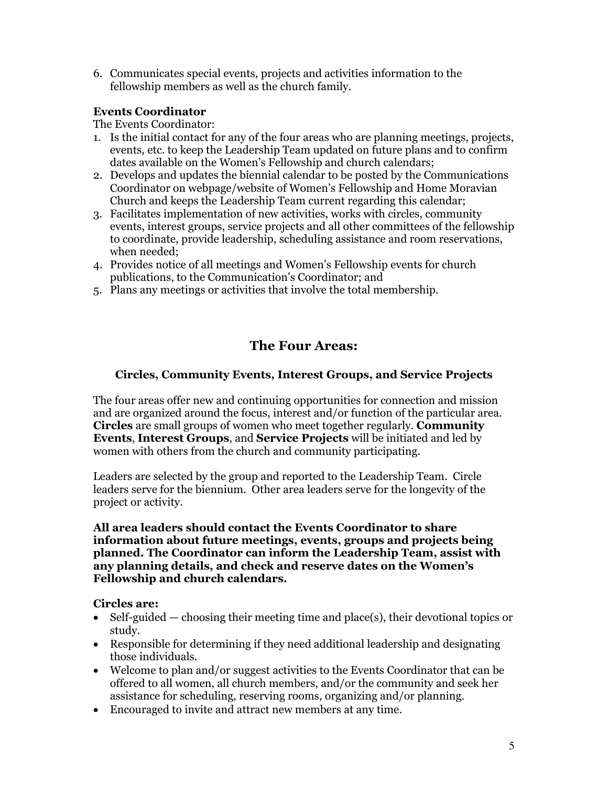6. Communicates special events, projects and activities information to the fellowship members as well as the church family.

## **Events Coordinator**

The Events Coordinator:

- 1. Is the initial contact for any of the four areas who are planning meetings, projects, events, etc. to keep the Leadership Team updated on future plans and to confirm dates available on the Women's Fellowship and church calendars;
- 2. Develops and updates the biennial calendar to be posted by the Communications Coordinator on webpage/website of Women's Fellowship and Home Moravian Church and keeps the Leadership Team current regarding this calendar;
- 3. Facilitates implementation of new activities, works with circles, community events, interest groups, service projects and all other committees of the fellowship to coordinate, provide leadership, scheduling assistance and room reservations, when needed;
- 4. Provides notice of all meetings and Women's Fellowship events for church publications, to the Communication's Coordinator; and
- 5. Plans any meetings or activities that involve the total membership.

# **The Four Areas:**

## **Circles, Community Events, Interest Groups, and Service Projects**

The four areas offer new and continuing opportunities for connection and mission and are organized around the focus, interest and/or function of the particular area. **Circles** are small groups of women who meet together regularly. **Community Events**, **Interest Groups**, and **Service Projects** will be initiated and led by women with others from the church and community participating.

Leaders are selected by the group and reported to the Leadership Team. Circle leaders serve for the biennium. Other area leaders serve for the longevity of the project or activity.

#### **All area leaders should contact the Events Coordinator to share information about future meetings, events, groups and projects being planned. The Coordinator can inform the Leadership Team, assist with any planning details, and check and reserve dates on the Women's Fellowship and church calendars.**

## **Circles are:**

- Self-guided choosing their meeting time and place(s), their devotional topics or study.
- Responsible for determining if they need additional leadership and designating those individuals.
- Welcome to plan and/or suggest activities to the Events Coordinator that can be offered to all women, all church members, and/or the community and seek her assistance for scheduling, reserving rooms, organizing and/or planning.
- Encouraged to invite and attract new members at any time.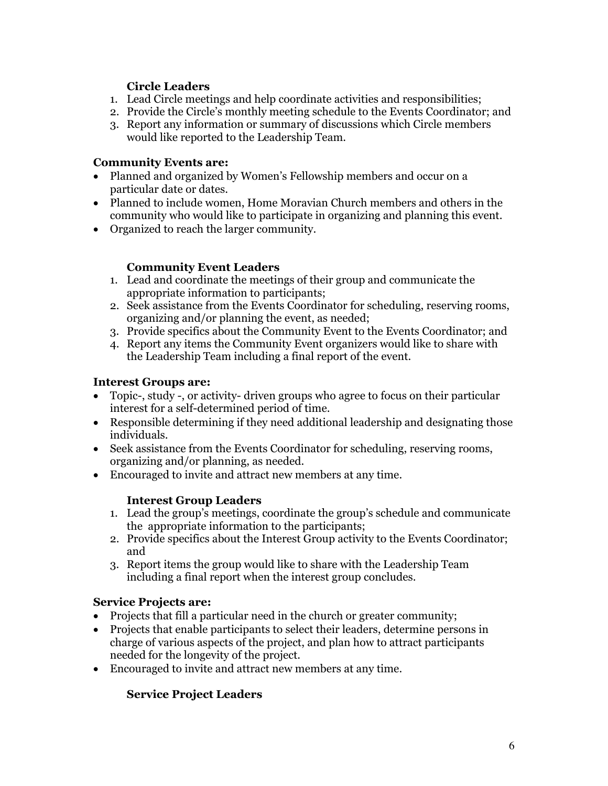## **Circle Leaders**

- 1. Lead Circle meetings and help coordinate activities and responsibilities;
- 2. Provide the Circle's monthly meeting schedule to the Events Coordinator; and
- 3. Report any information or summary of discussions which Circle members would like reported to the Leadership Team.

## **Community Events are:**

- Planned and organized by Women's Fellowship members and occur on a particular date or dates.
- Planned to include women, Home Moravian Church members and others in the community who would like to participate in organizing and planning this event.
- Organized to reach the larger community.

## **Community Event Leaders**

- 1. Lead and coordinate the meetings of their group and communicate the appropriate information to participants;
- 2. Seek assistance from the Events Coordinator for scheduling, reserving rooms, organizing and/or planning the event, as needed;
- 3. Provide specifics about the Community Event to the Events Coordinator; and
- 4. Report any items the Community Event organizers would like to share with the Leadership Team including a final report of the event.

## **Interest Groups are:**

- Topic-, study -, or activity- driven groups who agree to focus on their particular interest for a self-determined period of time.
- Responsible determining if they need additional leadership and designating those individuals.
- Seek assistance from the Events Coordinator for scheduling, reserving rooms, organizing and/or planning, as needed.
- Encouraged to invite and attract new members at any time.

## **Interest Group Leaders**

- 1. Lead the group's meetings, coordinate the group's schedule and communicate the appropriate information to the participants;
- 2. Provide specifics about the Interest Group activity to the Events Coordinator; and
- 3. Report items the group would like to share with the Leadership Team including a final report when the interest group concludes.

## **Service Projects are:**

- Projects that fill a particular need in the church or greater community;
- Projects that enable participants to select their leaders, determine persons in charge of various aspects of the project, and plan how to attract participants needed for the longevity of the project.
- Encouraged to invite and attract new members at any time.

## **Service Project Leaders**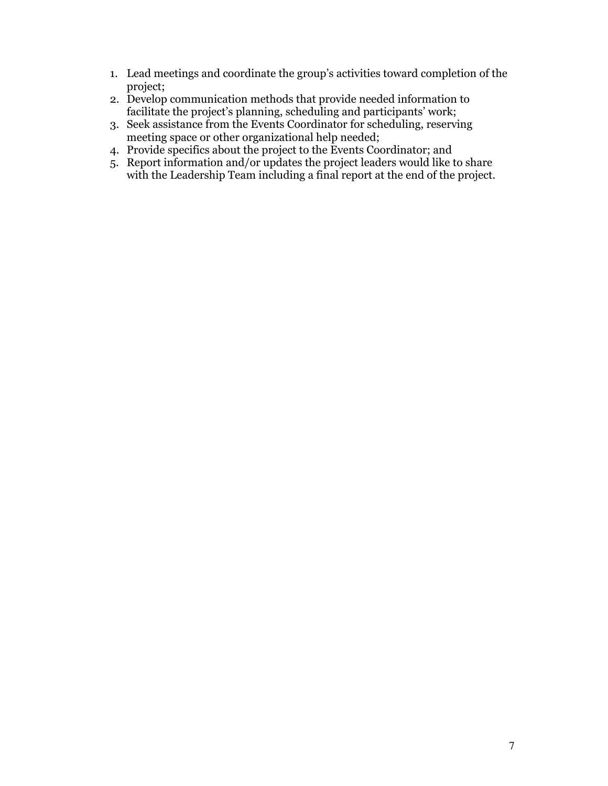- 1. Lead meetings and coordinate the group's activities toward completion of the project;
- 2. Develop communication methods that provide needed information to facilitate the project's planning, scheduling and participants' work;
- 3. Seek assistance from the Events Coordinator for scheduling, reserving meeting space or other organizational help needed;
- 4. Provide specifics about the project to the Events Coordinator; and
- 5. Report information and/or updates the project leaders would like to share with the Leadership Team including a final report at the end of the project.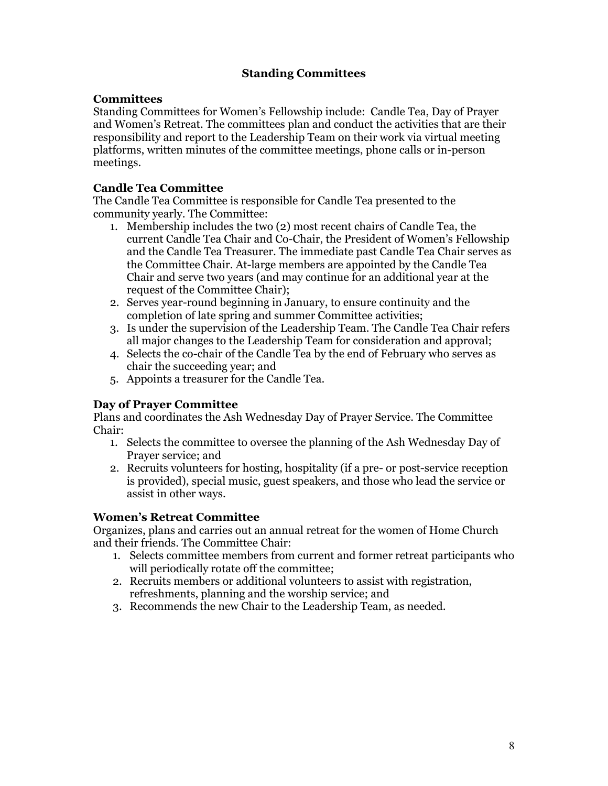## **Standing Committees**

### **Committees**

Standing Committees for Women's Fellowship include: Candle Tea, Day of Prayer and Women's Retreat. The committees plan and conduct the activities that are their responsibility and report to the Leadership Team on their work via virtual meeting platforms, written minutes of the committee meetings, phone calls or in-person meetings.

### **Candle Tea Committee**

The Candle Tea Committee is responsible for Candle Tea presented to the community yearly. The Committee:

- 1. Membership includes the two (2) most recent chairs of Candle Tea, the current Candle Tea Chair and Co-Chair, the President of Women's Fellowship and the Candle Tea Treasurer. The immediate past Candle Tea Chair serves as the Committee Chair. At-large members are appointed by the Candle Tea Chair and serve two years (and may continue for an additional year at the request of the Committee Chair);
- 2. Serves year-round beginning in January, to ensure continuity and the completion of late spring and summer Committee activities;
- 3. Is under the supervision of the Leadership Team. The Candle Tea Chair refers all major changes to the Leadership Team for consideration and approval;
- 4. Selects the co-chair of the Candle Tea by the end of February who serves as chair the succeeding year; and
- 5. Appoints a treasurer for the Candle Tea.

## **Day of Prayer Committee**

Plans and coordinates the Ash Wednesday Day of Prayer Service. The Committee Chair:

- 1. Selects the committee to oversee the planning of the Ash Wednesday Day of Prayer service; and
- 2. Recruits volunteers for hosting, hospitality (if a pre- or post-service reception is provided), special music, guest speakers, and those who lead the service or assist in other ways.

## **Women's Retreat Committee**

Organizes, plans and carries out an annual retreat for the women of Home Church and their friends. The Committee Chair:

- 1. Selects committee members from current and former retreat participants who will periodically rotate off the committee;
- 2. Recruits members or additional volunteers to assist with registration, refreshments, planning and the worship service; and
- 3. Recommends the new Chair to the Leadership Team, as needed.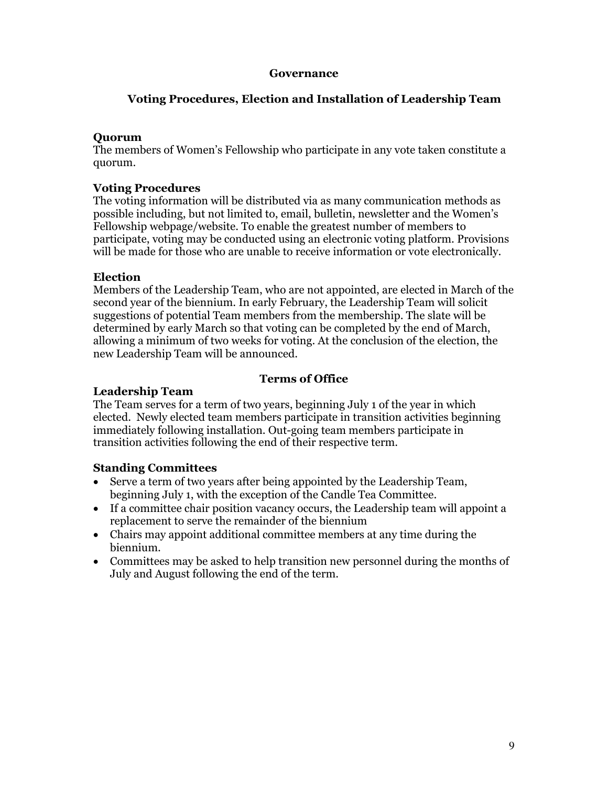#### **Governance**

### **Voting Procedures, Election and Installation of Leadership Team**

#### **Quorum**

The members of Women's Fellowship who participate in any vote taken constitute a quorum.

#### **Voting Procedures**

The voting information will be distributed via as many communication methods as possible including, but not limited to, email, bulletin, newsletter and the Women's Fellowship webpage/website. To enable the greatest number of members to participate, voting may be conducted using an electronic voting platform. Provisions will be made for those who are unable to receive information or vote electronically.

#### **Election**

Members of the Leadership Team, who are not appointed, are elected in March of the second year of the biennium. In early February, the Leadership Team will solicit suggestions of potential Team members from the membership. The slate will be determined by early March so that voting can be completed by the end of March, allowing a minimum of two weeks for voting. At the conclusion of the election, the new Leadership Team will be announced.

#### **Terms of Office**

#### **Leadership Team**

The Team serves for a term of two years, beginning July 1 of the year in which elected. Newly elected team members participate in transition activities beginning immediately following installation. Out-going team members participate in transition activities following the end of their respective term.

#### **Standing Committees**

- Serve a term of two years after being appointed by the Leadership Team, beginning July 1, with the exception of the Candle Tea Committee.
- If a committee chair position vacancy occurs, the Leadership team will appoint a replacement to serve the remainder of the biennium
- Chairs may appoint additional committee members at any time during the biennium.
- Committees may be asked to help transition new personnel during the months of July and August following the end of the term.